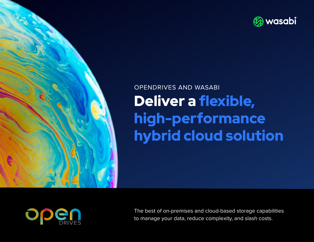

# Deliver a flexible, high-performance hybrid cloud solution OPENDRIVES AND WASABI



The best of on-premises and cloud-based storage capabilities to manage your data, reduce complexity, and slash costs.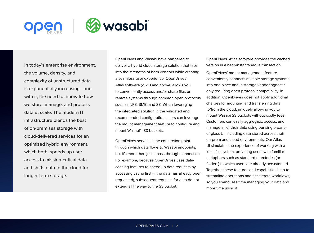

In today's enterprise environment, the volume, density, and complexity of unstructured data is exponentially increasing—and with it, the need to innovate how we store, manage, and process data at scale. The modern IT infrastructure blends the best of on-premises storage with cloud-delivered services for an optimized hybrid environment, which both speeds up user access to mission-critical data and shifts data to the cloud for longer-term storage.

OpenDrives and Wasabi have partnered to deliver a hybrid cloud storage solution that taps into the strengths of both vendors while creating a seamless user experience. OpenDrives' Atlas software (v. 2.3 and above) allows you to conveniently access and/or share files or remote systems through common open protocols such as NFS, SMB, and S3. When leveraging the integrated solution in the validated and recommended configuration, users can leverage the mount management feature to configure and mount Wasabi's S3 buckets.

OpenDrives serves as the connection point through which data flows to Wasabi endpoints, but it's more than just a pass-through connection. For example, because OpenDrives uses datacaching features to speed up data requests by accessing cache first (if the data has already been requested), subsequent requests for data do not extend all the way to the S3 bucket.

OpenDrives' Atlas software provides the cached version in a near-instantaneous transaction. OpenDrives' mount management feature conveniently connects multiple storage systems into one place and is storage vendor agnostic, only requiring open protocol compatibility. In addition, OpenDrives does not apply additional charges for mounting and transferring data to/from the cloud, uniquely allowing you to mount Wasabi S3 buckets without costly fees. Customers can easily aggregate, access, and manage all of their data using our single-paneof-glass UI, including data stored across their on-prem and cloud environments. Our Atlas UI simulates the experience of working with a local file system, providing users with familiar metaphors such as standard directories (or folders) to which users are already accustomed. Together, these features and capabilities help to streamline operations and accelerate workflows, so you spend less time managing your data and more time using it.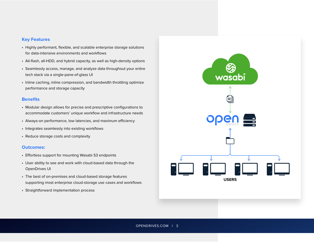#### **Key Features**

- Highly performant, flexible, and scalable enterprise storage solutions for data-intensive environments and workflows
- All-flash, all-HDD, and hybrid capacity, as well as high-density options
- Seamlessly access, manage, and analyze data throughout your entire tech stack via a single-pane-of-glass UI
- Inline caching, inline compression, and bandwidth throttling optimize performance and storage capacity

## **Benefits**

- Modular design allows for precise and prescriptive configurations to accommodate customers' unique workflow and infrastructure needs
- Always-on performance, low latencies, and maximum efficiency
- Integrates seamlessly into existing workflows
- Reduce storage costs and complexity

#### **Outcomes:**

- Effortless support for mounting Wasabi S3 endpoints
- User ability to see and work with cloud-based data through the OpenDrives UI
- The best of on-premises and cloud-based storage features supporting most enterprise cloud-storage use cases and workflows
- Straightforward implementation process